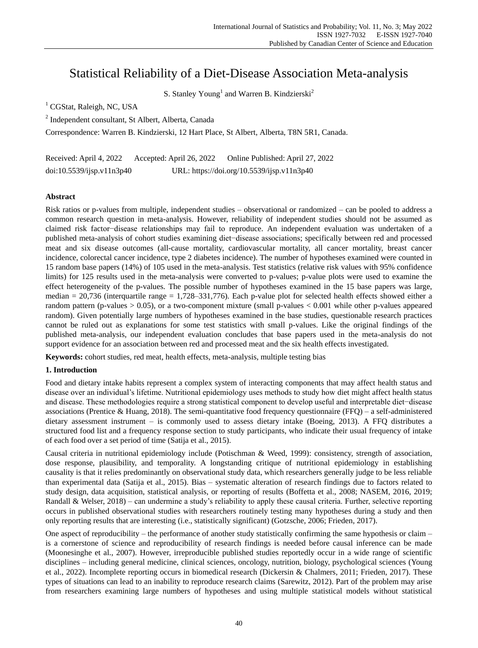# Statistical Reliability of a Diet-Disease Association Meta-analysis

S. Stanley Young<sup>1</sup> and Warren B. Kindzierski<sup>2</sup>

<sup>1</sup> CGStat, Raleigh, NC, USA

2 Independent consultant, St Albert, Alberta, Canada

Correspondence: Warren B. Kindzierski, 12 Hart Place, St Albert, Alberta, T8N 5R1, Canada.

Received: April 4, 2022 Accepted: April 26, 2022 Online Published: April 27, 2022 doi:10.5539/ijsp.v11n3p40 URL: https://doi.org/10.5539/ijsp.v11n3p40

# **Abstract**

Risk ratios or p-values from multiple, independent studies – observational or randomized – can be pooled to address a common research question in meta-analysis. However, reliability of independent studies should not be assumed as claimed risk factor−disease relationships may fail to reproduce. An independent evaluation was undertaken of a published meta-analysis of cohort studies examining diet−disease associations; specifically between red and processed meat and six disease outcomes (all-cause mortality, cardiovascular mortality, all cancer mortality, breast cancer incidence, colorectal cancer incidence, type 2 diabetes incidence). The number of hypotheses examined were counted in 15 random base papers (14%) of 105 used in the meta-analysis. Test statistics (relative risk values with 95% confidence limits) for 125 results used in the meta-analysis were converted to p-values; p-value plots were used to examine the effect heterogeneity of the p-values. The possible number of hypotheses examined in the 15 base papers was large, median  $= 20,736$  (interquartile range  $= 1,728-331,776$ ). Each p-value plot for selected health effects showed either a random pattern (p-values  $> 0.05$ ), or a two-component mixture (small p-values  $< 0.001$  while other p-values appeared random). Given potentially large numbers of hypotheses examined in the base studies, questionable research practices cannot be ruled out as explanations for some test statistics with small p-values. Like the original findings of the published meta-analysis, our independent evaluation concludes that base papers used in the meta-analysis do not support evidence for an association between red and processed meat and the six health effects investigated.

**Keywords:** cohort studies, red meat, health effects, meta-analysis, multiple testing bias

# **1. Introduction**

Food and dietary intake habits represent a complex system of interacting components that may affect health status and disease over an individual's lifetime. Nutritional epidemiology uses methods to study how diet might affect health status and disease. These methodologies require a strong statistical component to develop useful and interpretable diet−disease associations (Prentice & Huang, 2018). The semi-quantitative food frequency questionnaire (FFQ) – a self-administered dietary assessment instrument – is commonly used to assess dietary intake (Boeing, 2013). A FFQ distributes a structured food list and a frequency response section to study participants, who indicate their usual frequency of intake of each food over a set period of time (Satija et al., 2015).

Causal criteria in nutritional epidemiology include (Potischman & Weed, 1999): consistency, strength of association, dose response, plausibility, and temporality. A longstanding critique of nutritional epidemiology in establishing causality is that it relies predominantly on observational study data, which researchers generally judge to be less reliable than experimental data (Satija et al., 2015). Bias – systematic alteration of research findings due to factors related to study design, data acquisition, statistical analysis, or reporting of results (Boffetta et al., 2008; NASEM, 2016, 2019; Randall & Welser, 2018) – can undermine a study's reliability to apply these causal criteria. Further, selective reporting occurs in published observational studies with researchers routinely testing many hypotheses during a study and then only reporting results that are interesting (i.e., statistically significant) (Gotzsche, 2006; Frieden, 2017).

One aspect of reproducibility – the performance of another study statistically confirming the same hypothesis or claim – is a cornerstone of science and reproducibility of research findings is needed before causal inference can be made (Moonesinghe et al., 2007). However, irreproducible published studies reportedly occur in a wide range of scientific disciplines – including general medicine, clinical sciences, oncology, nutrition, biology, psychological sciences (Young et al., 2022). Incomplete reporting occurs in biomedical research (Dickersin & Chalmers, 2011; Frieden, 2017). These types of situations can lead to an inability to reproduce research claims (Sarewitz, 2012). Part of the problem may arise from researchers examining large numbers of hypotheses and using multiple statistical models without statistical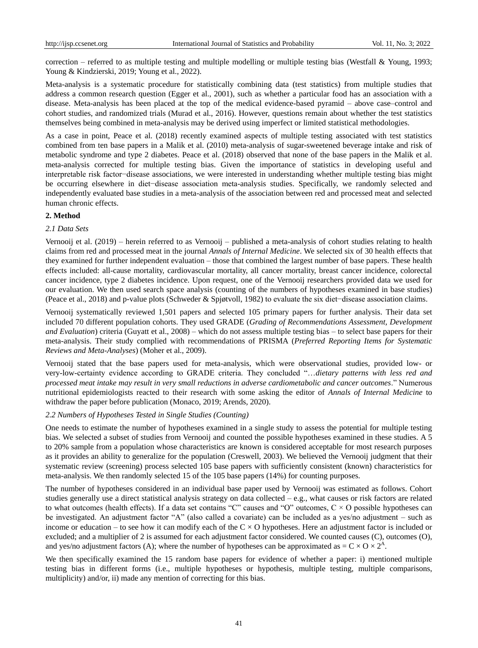correction – referred to as multiple testing and multiple modelling or multiple testing bias (Westfall & Young, 1993; Young & Kindzierski, 2019; Young et al., 2022).

Meta-analysis is a systematic procedure for statistically combining data (test statistics) from multiple studies that address a common research question (Egger et al., 2001), such as whether a particular food has an association with a disease. Meta-analysis has been placed at the top of the medical evidence-based pyramid – above case–control and cohort studies, and randomized trials (Murad et al., 2016). However, questions remain about whether the test statistics themselves being combined in meta-analysis may be derived using imperfect or limited statistical methodologies.

As a case in point, Peace et al. (2018) recently examined aspects of multiple testing associated with test statistics combined from ten base papers in a Malik et al. (2010) meta-analysis of sugar-sweetened beverage intake and risk of metabolic syndrome and type 2 diabetes. Peace et al. (2018) observed that none of the base papers in the Malik et al. meta-analysis corrected for multiple testing bias. Given the importance of statistics in developing useful and interpretable risk factor−disease associations, we were interested in understanding whether multiple testing bias might be occurring elsewhere in diet−disease association meta-analysis studies. Specifically, we randomly selected and independently evaluated base studies in a meta-analysis of the association between red and processed meat and selected human chronic effects.

# **2. Method**

#### *2.1 Data Sets*

Vernooij et al. (2019) – herein referred to as Vernooij – published a meta-analysis of cohort studies relating to health claims from red and processed meat in the journal *Annals of Internal Medicine*. We selected six of 30 health effects that they examined for further independent evaluation – those that combined the largest number of base papers. These health effects included: all-cause mortality, cardiovascular mortality, all cancer mortality, breast cancer incidence, colorectal cancer incidence, type 2 diabetes incidence. Upon request, one of the Vernooij researchers provided data we used for our evaluation. We then used search space analysis (counting of the numbers of hypotheses examined in base studies) (Peace et al., 2018) and p-value plots (Schweder & Spjøtvoll, 1982) to evaluate the six diet−disease association claims.

Vernooij systematically reviewed 1,501 papers and selected 105 primary papers for further analysis. Their data set included 70 different population cohorts. They used GRADE (*Grading of Recommendations Assessment, Development and Evaluation*) criteria (Guyatt et al., 2008) – which do not assess multiple testing bias – to select base papers for their meta-analysis. Their study complied with recommendations of PRISMA (*Preferred Reporting Items for Systematic Reviews and Meta-Analyses*) (Moher et al., 2009).

Vernooij stated that the base papers used for meta-analysis, which were observational studies, provided low- or very-low-certainty evidence according to GRADE criteria. They concluded "…*dietary patterns with less red and processed meat intake may result in very small reductions in adverse cardiometabolic and cancer outcomes*." Numerous nutritional epidemiologists reacted to their research with some asking the editor of *Annals of Internal Medicine* to withdraw the paper before publication (Monaco, 2019; Arends, 2020).

#### *2.2 Numbers of Hypotheses Tested in Single Studies (Counting)*

One needs to estimate the number of hypotheses examined in a single study to assess the potential for multiple testing bias. We selected a subset of studies from Vernooij and counted the possible hypotheses examined in these studies. A 5 to 20% sample from a population whose characteristics are known is considered acceptable for most research purposes as it provides an ability to generalize for the population (Creswell, 2003). We believed the Vernooij judgment that their systematic review (screening) process selected 105 base papers with sufficiently consistent (known) characteristics for meta-analysis. We then randomly selected 15 of the 105 base papers (14%) for counting purposes.

The number of hypotheses considered in an individual base paper used by Vernooij was estimated as follows. Cohort studies generally use a direct statistical analysis strategy on data collected – e.g., what causes or risk factors are related to what outcomes (health effects). If a data set contains "C" causes and "O" outcomes,  $C \times O$  possible hypotheses can be investigated. An adjustment factor "A" (also called a covariate) can be included as a yes/no adjustment – such as income or education – to see how it can modify each of the  $C \times O$  hypotheses. Here an adjustment factor is included or excluded; and a multiplier of 2 is assumed for each adjustment factor considered. We counted causes (C), outcomes (O), and yes/no adjustment factors (A); where the number of hypotheses can be approximated as =  $C \times O \times 2^{A}$ .

We then specifically examined the 15 random base papers for evidence of whether a paper: i) mentioned multiple testing bias in different forms (i.e., multiple hypotheses or hypothesis, multiple testing, multiple comparisons, multiplicity) and/or, ii) made any mention of correcting for this bias.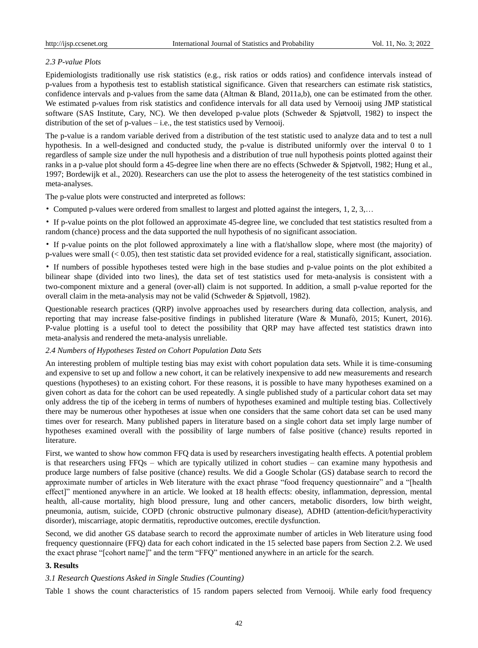# *2.3 P-value Plots*

Epidemiologists traditionally use risk statistics (e.g., risk ratios or odds ratios) and confidence intervals instead of p-values from a hypothesis test to establish statistical significance. Given that researchers can estimate risk statistics, confidence intervals and p-values from the same data (Altman & Bland, 2011a,b), one can be estimated from the other. We estimated p-values from risk statistics and confidence intervals for all data used by Vernooij using JMP statistical software (SAS Institute, Cary, NC). We then developed p-value plots (Schweder & Spjøtvoll, 1982) to inspect the distribution of the set of  $p$ -values – i.e., the test statistics used by Vernooij.

The p-value is a random variable derived from a distribution of the test statistic used to analyze data and to test a null hypothesis. In a well-designed and conducted study, the p-value is distributed uniformly over the interval 0 to 1 regardless of sample size under the null hypothesis and a distribution of true null hypothesis points plotted against their ranks in a p-value plot should form a 45-degree line when there are no effects (Schweder & Spjøtvoll, 1982; Hung et al., 1997; Bordewijk et al., 2020). Researchers can use the plot to assess the heterogeneity of the test statistics combined in meta-analyses.

The p-value plots were constructed and interpreted as follows:

• Computed p-values were ordered from smallest to largest and plotted against the integers, 1, 2, 3,...

• If p-value points on the plot followed an approximate 45-degree line, we concluded that test statistics resulted from a random (chance) process and the data supported the null hypothesis of no significant association.

• If p-value points on the plot followed approximately a line with a flat/shallow slope, where most (the majority) of p-values were small (< 0.05), then test statistic data set provided evidence for a real, statistically significant, association.

• If numbers of possible hypotheses tested were high in the base studies and p-value points on the plot exhibited a bilinear shape (divided into two lines), the data set of test statistics used for meta-analysis is consistent with a two-component mixture and a general (over-all) claim is not supported. In addition, a small p-value reported for the overall claim in the meta-analysis may not be valid (Schweder & Spjøtvoll, 1982).

Questionable research practices (QRP) involve approaches used by researchers during data collection, analysis, and reporting that may increase false-positive findings in published literature (Ware & Munafò, 2015; Kunert, 2016). P-value plotting is a useful tool to detect the possibility that QRP may have affected test statistics drawn into meta-analysis and rendered the meta-analysis unreliable.

#### *2.4 Numbers of Hypotheses Tested on Cohort Population Data Sets*

An interesting problem of multiple testing bias may exist with cohort population data sets. While it is time-consuming and expensive to set up and follow a new cohort, it can be relatively inexpensive to add new measurements and research questions (hypotheses) to an existing cohort. For these reasons, it is possible to have many hypotheses examined on a given cohort as data for the cohort can be used repeatedly. A single published study of a particular cohort data set may only address the tip of the iceberg in terms of numbers of hypotheses examined and multiple testing bias. Collectively there may be numerous other hypotheses at issue when one considers that the same cohort data set can be used many times over for research. Many published papers in literature based on a single cohort data set imply large number of hypotheses examined overall with the possibility of large numbers of false positive (chance) results reported in literature.

First, we wanted to show how common FFQ data is used by researchers investigating health effects. A potential problem is that researchers using FFQs – which are typically utilized in cohort studies – can examine many hypothesis and produce large numbers of false positive (chance) results. We did a Google Scholar (GS) database search to record the approximate number of articles in Web literature with the exact phrase "food frequency questionnaire" and a "[health effect]" mentioned anywhere in an article. We looked at 18 health effects: obesity, inflammation, depression, mental health, all-cause mortality, high blood pressure, lung and other cancers, metabolic disorders, low birth weight, pneumonia, autism, suicide, COPD (chronic obstructive pulmonary disease), ADHD (attention-deficit/hyperactivity disorder), miscarriage, atopic dermatitis, reproductive outcomes, erectile dysfunction.

Second, we did another GS database search to record the approximate number of articles in Web literature using food frequency questionnaire (FFQ) data for each cohort indicated in the 15 selected base papers from Section 2.2. We used the exact phrase "[cohort name]" and the term "FFQ" mentioned anywhere in an article for the search.

#### **3. Results**

#### *3.1 Research Questions Asked in Single Studies (Counting)*

Table 1 shows the count characteristics of 15 random papers selected from Vernooij. While early food frequency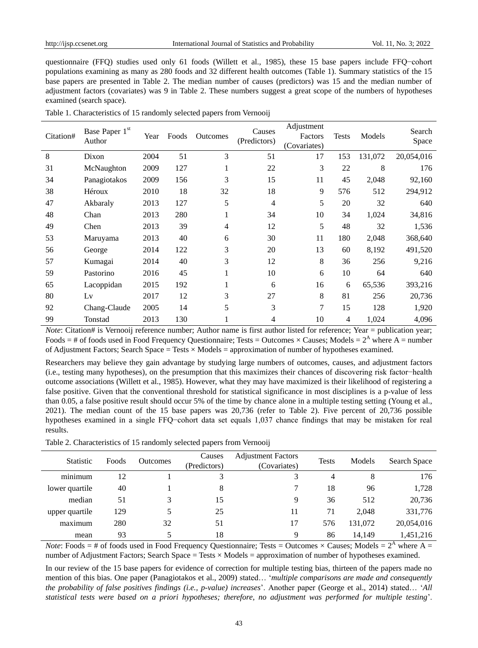questionnaire (FFQ) studies used only 61 foods (Willett et al., 1985), these 15 base papers include FFQ−cohort populations examining as many as 280 foods and 32 different health outcomes (Table 1). Summary statistics of the 15 base papers are presented in Table 2. The median number of causes (predictors) was 15 and the median number of adjustment factors (covariates) was 9 in Table 2. These numbers suggest a great scope of the numbers of hypotheses examined (search space).

| Citation# | Base Paper 1st<br>Author | Year | Foods | Outcomes | Causes<br>(Predictors) | Adjustment<br>Factors<br>(Covariates) | <b>Tests</b> | Models  | Search<br>Space |
|-----------|--------------------------|------|-------|----------|------------------------|---------------------------------------|--------------|---------|-----------------|
| 8         | Dixon                    | 2004 | 51    | 3        | 51                     | 17                                    | 153          | 131,072 | 20,054,016      |
| 31        | McNaughton               | 2009 | 127   | 1        | 22                     | 3                                     | 22           | 8       | 176             |
| 34        | Panagiotakos             | 2009 | 156   | 3        | 15                     | 11                                    | 45           | 2,048   | 92,160          |
| 38        | H éroux                  | 2010 | 18    | 32       | 18                     | 9                                     | 576          | 512     | 294,912         |
| 47        | Akbaraly                 | 2013 | 127   | 5        | $\overline{4}$         | 5                                     | 20           | 32      | 640             |
| 48        | Chan                     | 2013 | 280   |          | 34                     | 10                                    | 34           | 1,024   | 34,816          |
| 49        | Chen                     | 2013 | 39    | 4        | 12                     | 5                                     | 48           | 32      | 1,536           |
| 53        | Maruyama                 | 2013 | 40    | 6        | 30                     | 11                                    | 180          | 2,048   | 368,640         |
| 56        | George                   | 2014 | 122   | 3        | 20                     | 13                                    | 60           | 8,192   | 491,520         |
| 57        | Kumagai                  | 2014 | 40    | 3        | 12                     | 8                                     | 36           | 256     | 9,216           |
| 59        | Pastorino                | 2016 | 45    | 1        | 10                     | 6                                     | 10           | 64      | 640             |
| 65        | Lacoppidan               | 2015 | 192   |          | 6                      | 16                                    | 6            | 65,536  | 393,216         |
| 80        | Lv                       | 2017 | 12    | 3        | 27                     | 8                                     | 81           | 256     | 20,736          |
| 92        | Chang-Claude             | 2005 | 14    | 5        | 3                      | 7                                     | 15           | 128     | 1,920           |
| 99        | Tonstad                  | 2013 | 130   |          | 4                      | 10                                    | 4            | 1,024   | 4,096           |

Table 1. Characteristics of 15 randomly selected papers from Vernooij

*Note*: Citation# is Vernooij reference number; Author name is first author listed for reference; Year = publication year; Foods = # of foods used in Food Frequency Questionnaire; Tests = Outcomes  $\times$  Causes; Models =  $2^A$  where A = number of Adjustment Factors; Search Space  $=$  Tests  $\times$  Models  $=$  approximation of number of hypotheses examined.

Researchers may believe they gain advantage by studying large numbers of outcomes, causes, and adjustment factors (i.e., testing many hypotheses), on the presumption that this maximizes their chances of discovering risk factor−health outcome associations (Willett et al., 1985). However, what they may have maximized is their likelihood of registering a false positive. Given that the conventional threshold for statistical significance in most disciplines is a p-value of less than 0.05, a false positive result should occur 5% of the time by chance alone in a multiple testing setting (Young et al., 2021). The median count of the 15 base papers was 20,736 (refer to Table 2). Five percent of 20,736 possible hypotheses examined in a single FFQ−cohort data set equals 1,037 chance findings that may be mistaken for real results.

Table 2. Characteristics of 15 randomly selected papers from Vernooij

| <b>Statistic</b> | Foods | <b>Outcomes</b> | Causes<br>(Predictors) | <b>Adjustment Factors</b><br>(Covariates) | <b>Tests</b> | Models  | Search Space |
|------------------|-------|-----------------|------------------------|-------------------------------------------|--------------|---------|--------------|
| minimum          | 12    |                 | 3                      | 3                                         | 4            | 8       | 176          |
| lower quartile   | 40    |                 | 8                      |                                           | 18           | 96      | 1,728        |
| median           | 51    |                 | 15                     | 9                                         | 36           | 512     | 20,736       |
| upper quartile   | 129   |                 | 25                     | 11                                        | 71           | 2.048   | 331,776      |
| maximum          | 280   | 32              | 51                     | 17                                        | 576          | 131.072 | 20,054,016   |
| mean             | 93    |                 | 18                     | 9                                         | 86           | 14.149  | 1,451,216    |

*Note*: Foods  $=\overline{a}$  for foods used in Food Frequency Questionnaire; Tests = Outcomes  $\times$  Causes; Models =  $2^A$  where A = number of Adjustment Factors; Search Space = Tests × Models = approximation of number of hypotheses examined.

In our review of the 15 base papers for evidence of correction for multiple testing bias, thirteen of the papers made no mention of this bias. One paper (Panagiotakos et al., 2009) stated… '*multiple comparisons are made and consequently the probability of false positives findings (i.e., p-value) increases*'. Another paper (George et al., 2014) stated… '*All statistical tests were based on a priori hypotheses; therefore, no adjustment was performed for multiple testing*'.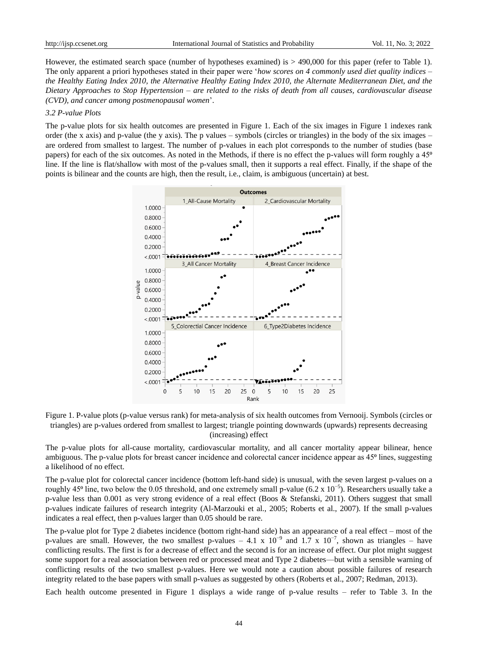However, the estimated search space (number of hypotheses examined) is > 490,000 for this paper (refer to Table 1). The only apparent a priori hypotheses stated in their paper were '*how scores on 4 commonly used diet quality indices – the Healthy Eating Index 2010, the Alternative Healthy Eating Index 2010, the Alternate Mediterranean Diet, and the Dietary Approaches to Stop Hypertension – are related to the risks of death from all causes, cardiovascular disease (CVD), and cancer among postmenopausal women*'.

### *3.2 P-value Plots*

The p-value plots for six health outcomes are presented in Figure 1. Each of the six images in Figure 1 indexes rank order (the x axis) and p-value (the y axis). The p values – symbols (circles or triangles) in the body of the six images – are ordered from smallest to largest. The number of p-values in each plot corresponds to the number of studies (base papers) for each of the six outcomes. As noted in the Methods, if there is no effect the p-values will form roughly a 45<sup>o</sup> line. If the line is flat/shallow with most of the p-values small, then it supports a real effect. Finally, if the shape of the points is bilinear and the counts are high, then the result, i.e., claim, is ambiguous (uncertain) at best.



Figure 1. P-value plots (p-value versus rank) for meta-analysis of six health outcomes from Vernooij. Symbols (circles or triangles) are p-values ordered from smallest to largest; triangle pointing downwards (upwards) represents decreasing (increasing) effect

The p-value plots for all-cause mortality, cardiovascular mortality, and all cancer mortality appear bilinear, hence ambiguous. The p-value plots for breast cancer incidence and colorectal cancer incidence appear as 45<sup>o</sup> lines, suggesting a likelihood of no effect.

The p-value plot for colorectal cancer incidence (bottom left-hand side) is unusual, with the seven largest p-values on a roughly 45<sup>o</sup> line, two below the 0.05 threshold, and one extremely small p-value (6.2 x 10<sup>-5</sup>). Researchers usually take a p-value less than 0.001 as very strong evidence of a real effect (Boos & Stefanski, 2011). Others suggest that small p-values indicate failures of research integrity (Al-Marzouki et al., 2005; Roberts et al., 2007). If the small p-values indicates a real effect, then p-values larger than 0.05 should be rare.

The p-value plot for Type 2 diabetes incidence (bottom right-hand side) has an appearance of a real effect – most of the p-values are small. However, the two smallest p-values – 4.1 x  $10^{-9}$  and 1.7 x  $10^{-7}$ , shown as triangles – have conflicting results. The first is for a decrease of effect and the second is for an increase of effect. Our plot might suggest some support for a real association between red or processed meat and Type 2 diabetes—but with a sensible warning of conflicting results of the two smallest p-values. Here we would note a caution about possible failures of research integrity related to the base papers with small p-values as suggested by others (Roberts et al., 2007; Redman, 2013).

Each health outcome presented in Figure 1 displays a wide range of p-value results – refer to Table 3. In the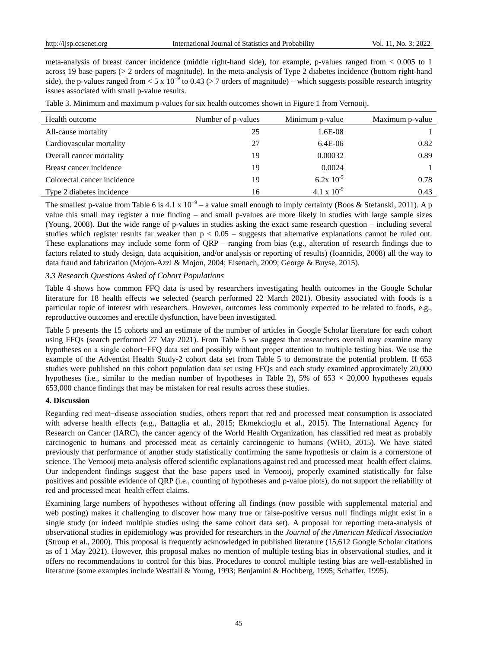meta-analysis of breast cancer incidence (middle right-hand side), for example, p-values ranged from  $< 0.005$  to 1 across 19 base papers ( $> 2$  orders of magnitude). In the meta-analysis of Type 2 diabetes incidence (bottom right-hand side), the p-values ranged from < 5 x  $10^{-9}$  to 0.43 (> 7 orders of magnitude) – which suggests possible research integrity issues associated with small p-value results.

| Table 3. Minimum and maximum p-values for six health outcomes shown in Figure 1 from Vernooij. |  |  |  |  |  |  |  |  |  |  |
|------------------------------------------------------------------------------------------------|--|--|--|--|--|--|--|--|--|--|
|------------------------------------------------------------------------------------------------|--|--|--|--|--|--|--|--|--|--|

| Health outcome              | Number of p-values | Minimum p-value | Maximum p-value |
|-----------------------------|--------------------|-----------------|-----------------|
| All-cause mortality         | 25                 | $1.6E-08$       |                 |
| Cardiovascular mortality    | 27                 | $6.4E-06$       | 0.82            |
| Overall cancer mortality    | 19                 | 0.00032         | 0.89            |
| Breast cancer incidence     | 19                 | 0.0024          |                 |
| Colorectal cancer incidence | 19                 | $6.2x\ 10^{-5}$ | 0.78            |
| Type 2 diabetes incidence   | 16                 | 4.1 x $10^{-9}$ | 0.43            |

The smallest p-value from Table 6 is 4.1 x  $10^{-9}$  – a value small enough to imply certainty (Boos & Stefanski, 2011). A p value this small may register a true finding – and small p-values are more likely in studies with large sample sizes (Young, 2008). But the wide range of p-values in studies asking the exact same research question – including several studies which register results far weaker than  $p < 0.05$  – suggests that alternative explanations cannot be ruled out. These explanations may include some form of QRP – ranging from bias (e.g., alteration of research findings due to factors related to study design, data acquisition, and/or analysis or reporting of results) (Ioannidis, 2008) all the way to data fraud and fabrication (Mojon-Azzi & Mojon, 2004; Eisenach, 2009; George & Buyse, 2015).

# *3.3 Research Questions Asked of Cohort Populations*

Table 4 shows how common FFQ data is used by researchers investigating health outcomes in the Google Scholar literature for 18 health effects we selected (search performed 22 March 2021). Obesity associated with foods is a particular topic of interest with researchers. However, outcomes less commonly expected to be related to foods, e.g., reproductive outcomes and erectile dysfunction, have been investigated.

Table 5 presents the 15 cohorts and an estimate of the number of articles in Google Scholar literature for each cohort using FFQs (search performed 27 May 2021). From Table 5 we suggest that researchers overall may examine many hypotheses on a single cohort−FFQ data set and possibly without proper attention to multiple testing bias. We use the example of the Adventist Health Study-2 cohort data set from Table 5 to demonstrate the potential problem. If 653 studies were published on this cohort population data set using FFQs and each study examined approximately 20,000 hypotheses (i.e., similar to the median number of hypotheses in Table 2), 5% of 653  $\times$  20,000 hypotheses equals 653,000 chance findings that may be mistaken for real results across these studies.

# **4. Discussion**

Regarding red meat−disease association studies, others report that red and processed meat consumption is associated with adverse health effects (e.g., Battaglia et al., 2015; Ekmekcioglu et al., 2015). The International Agency for Research on Cancer (IARC), the cancer agency of the World Health Organization, has classified red meat as probably carcinogenic to humans and processed meat as certainly carcinogenic to humans (WHO, 2015). We have stated previously that performance of another study statistically confirming the same hypothesis or claim is a cornerstone of science. The Vernooij meta-analysis offered scientific explanations against red and processed meat–health effect claims. Our independent findings suggest that the base papers used in Vernooij, properly examined statistically for false positives and possible evidence of QRP (i.e., counting of hypotheses and p-value plots), do not support the reliability of red and processed meat–health effect claims.

Examining large numbers of hypotheses without offering all findings (now possible with supplemental material and web posting) makes it challenging to discover how many true or false-positive versus null findings might exist in a single study (or indeed multiple studies using the same cohort data set). A proposal for reporting meta-analysis of observational studies in epidemiology was provided for researchers in the *Journal of the American Medical Association* (Stroup et al., 2000). This proposal is frequently acknowledged in published literature (15,612 Google Scholar citations as of 1 May 2021). However, this proposal makes no mention of multiple testing bias in observational studies, and it offers no recommendations to control for this bias. Procedures to control multiple testing bias are well-established in literature (some examples include Westfall & Young, 1993; Benjamini & Hochberg, 1995; Schaffer, 1995).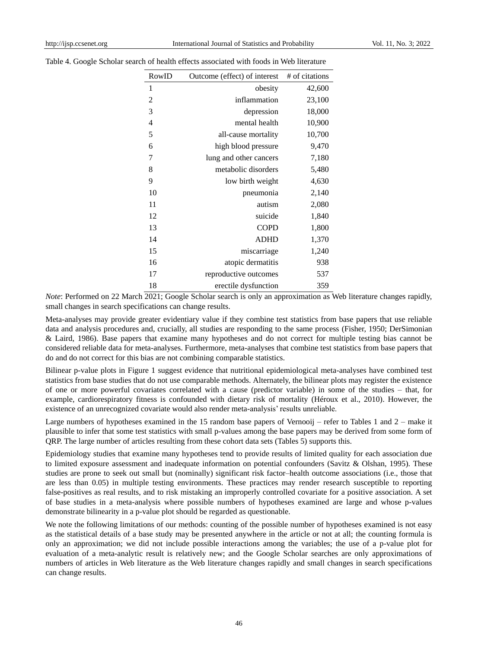| RowID | Outcome (effect) of interest # of citations |        |
|-------|---------------------------------------------|--------|
| 1     | obesity                                     | 42,600 |
| 2     | inflammation                                | 23,100 |
| 3     | depression                                  | 18,000 |
| 4     | mental health                               | 10,900 |
| 5     | all-cause mortality                         | 10,700 |
| 6     | high blood pressure                         | 9,470  |
| 7     | lung and other cancers                      | 7,180  |
| 8     | metabolic disorders                         | 5,480  |
| 9     | low birth weight                            | 4,630  |
| 10    | pneumonia                                   | 2,140  |
| 11    | autism                                      | 2,080  |
| 12    | suicide                                     | 1,840  |
| 13    | <b>COPD</b>                                 | 1,800  |
| 14    | <b>ADHD</b>                                 | 1,370  |
| 15    | miscarriage                                 | 1,240  |
| 16    | atopic dermatitis                           | 938    |
| 17    | reproductive outcomes                       | 537    |
| 18    | erectile dysfunction                        | 359    |

|  |  |  |  |  |  | Table 4. Google Scholar search of health effects associated with foods in Web literature |  |  |  |  |
|--|--|--|--|--|--|------------------------------------------------------------------------------------------|--|--|--|--|
|--|--|--|--|--|--|------------------------------------------------------------------------------------------|--|--|--|--|

*Note*: Performed on 22 March 2021; Google Scholar search is only an approximation as Web literature changes rapidly, small changes in search specifications can change results.

Meta-analyses may provide greater evidentiary value if they combine test statistics from base papers that use reliable data and analysis procedures and, crucially, all studies are responding to the same process (Fisher, 1950; DerSimonian & Laird, 1986). Base papers that examine many hypotheses and do not correct for multiple testing bias cannot be considered reliable data for meta-analyses. Furthermore, meta-analyses that combine test statistics from base papers that do and do not correct for this bias are not combining comparable statistics.

Bilinear p-value plots in Figure 1 suggest evidence that nutritional epidemiological meta-analyses have combined test statistics from base studies that do not use comparable methods. Alternately, the bilinear plots may register the existence of one or more powerful covariates correlated with a cause (predictor variable) in some of the studies – that, for example, cardiorespiratory fitness is confounded with dietary risk of mortality (Héroux et al., 2010). However, the existence of an unrecognized covariate would also render meta-analysis' results unreliable.

Large numbers of hypotheses examined in the 15 random base papers of Vernooij – refer to Tables 1 and 2 – make it plausible to infer that some test statistics with small p-values among the base papers may be derived from some form of QRP. The large number of articles resulting from these cohort data sets (Tables 5) supports this.

Epidemiology studies that examine many hypotheses tend to provide results of limited quality for each association due to limited exposure assessment and inadequate information on potential confounders (Savitz & Olshan, 1995). These studies are prone to seek out small but (nominally) significant risk factor–health outcome associations (i.e., those that are less than 0.05) in multiple testing environments. These practices may render research susceptible to reporting false-positives as real results, and to risk mistaking an improperly controlled covariate for a positive association. A set of base studies in a meta-analysis where possible numbers of hypotheses examined are large and whose p-values demonstrate bilinearity in a p-value plot should be regarded as questionable.

We note the following limitations of our methods: counting of the possible number of hypotheses examined is not easy as the statistical details of a base study may be presented anywhere in the article or not at all; the counting formula is only an approximation; we did not include possible interactions among the variables; the use of a p-value plot for evaluation of a meta-analytic result is relatively new; and the Google Scholar searches are only approximations of numbers of articles in Web literature as the Web literature changes rapidly and small changes in search specifications can change results.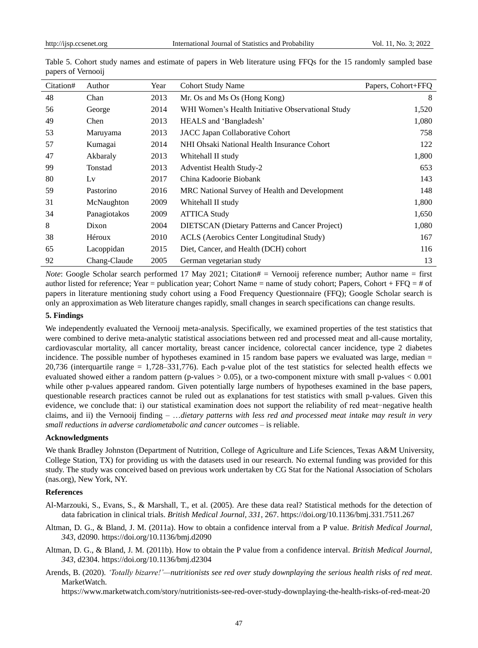| Citation# | Author       | Year | <b>Cohort Study Name</b>                              | Papers, Cohort+FFQ |
|-----------|--------------|------|-------------------------------------------------------|--------------------|
| 48        | Chan         | 2013 | Mr. Os and Ms Os (Hong Kong)                          | 8                  |
| 56        | George       | 2014 | WHI Women's Health Initiative Observational Study     | 1,520              |
| 49        | Chen         | 2013 | HEALS and 'Bangladesh'                                | 1,080              |
| 53        | Maruyama     | 2013 | JACC Japan Collaborative Cohort                       | 758                |
| 57        | Kumagai      | 2014 | NHI Ohsaki National Health Insurance Cohort           | 122                |
| 47        | Akbaraly     | 2013 | Whitehall II study                                    | 1,800              |
| 99        | Tonstad      | 2013 | <b>Adventist Health Study-2</b>                       | 653                |
| 80        | Lv           | 2017 | China Kadoorie Biobank                                | 143                |
| 59        | Pastorino    | 2016 | MRC National Survey of Health and Development         | 148                |
| 31        | McNaughton   | 2009 | Whitehall II study                                    | 1,800              |
| 34        | Panagiotakos | 2009 | <b>ATTICA Study</b>                                   | 1,650              |
| 8         | Dixon        | 2004 | <b>DIETSCAN</b> (Dietary Patterns and Cancer Project) | 1,080              |
| 38        | H éroux      | 2010 | ACLS (Aerobics Center Longitudinal Study)             | 167                |
| 65        | Lacoppidan   | 2015 | Diet, Cancer, and Health (DCH) cohort                 | 116                |
| 92        | Chang-Claude | 2005 | German vegetarian study                               | 13                 |

Table 5. Cohort study names and estimate of papers in Web literature using FFQs for the 15 randomly sampled base papers of Vernooij

*Note*: Google Scholar search performed 17 May 2021; Citation# = Vernooij reference number; Author name = first author listed for reference; Year = publication year; Cohort Name = name of study cohort; Papers, Cohort + FFQ = # of papers in literature mentioning study cohort using a Food Frequency Questionnaire (FFQ); Google Scholar search is only an approximation as Web literature changes rapidly, small changes in search specifications can change results.

#### **5. Findings**

We independently evaluated the Vernooij meta-analysis. Specifically, we examined properties of the test statistics that were combined to derive meta-analytic statistical associations between red and processed meat and all-cause mortality, cardiovascular mortality, all cancer mortality, breast cancer incidence, colorectal cancer incidence, type 2 diabetes incidence. The possible number of hypotheses examined in 15 random base papers we evaluated was large, median  $=$ 20,736 (interquartile range = 1,728–331,776). Each p-value plot of the test statistics for selected health effects we evaluated showed either a random pattern (p-values > 0.05), or a two-component mixture with small p-values < 0.001 while other p-values appeared random. Given potentially large numbers of hypotheses examined in the base papers, questionable research practices cannot be ruled out as explanations for test statistics with small p-values. Given this evidence, we conclude that: i) our statistical examination does not support the reliability of red meat−negative health claims, and ii) the Vernooij finding – …*dietary patterns with less red and processed meat intake may result in very small reductions in adverse cardiometabolic and cancer outcomes* – is reliable.

#### **Acknowledgments**

We thank Bradley Johnston (Department of Nutrition, College of Agriculture and Life Sciences, Texas A&M University, College Station, TX) for providing us with the datasets used in our research. No external funding was provided for this study. The study was conceived based on previous work undertaken by CG Stat for the National Association of Scholars (nas.org), New York, NY.

#### **References**

- Al-Marzouki, S., Evans, S., & Marshall, T., et al. (2005). Are these data real? Statistical methods for the detection of data fabrication in clinical trials. *British Medical Journal*, *331*, 267.<https://doi.org/10.1136/bmj.331.7511.267>
- Altman, D. G., & Bland, J. M. (2011a). How to obtain a confidence interval from a P value. *British Medical Journal, 343*, d2090. https://doi.org/10.1136/bmj.d2090
- Altman, D. G., & Bland, J. M. (2011b). How to obtain the P value from a confidence interval. *British Medical Journal, 343*, d2304. https://doi.org/10.1136/bmj.d2304
- Arends, B. (2020). *'Totally bizarre!'—nutritionists see red over study downplaying the serious health risks of red meat*. MarketWatch.

https://www.marketwatch.com/story/nutritionists-see-red-over-study-downplaying-the-health-risks-of-red-meat-20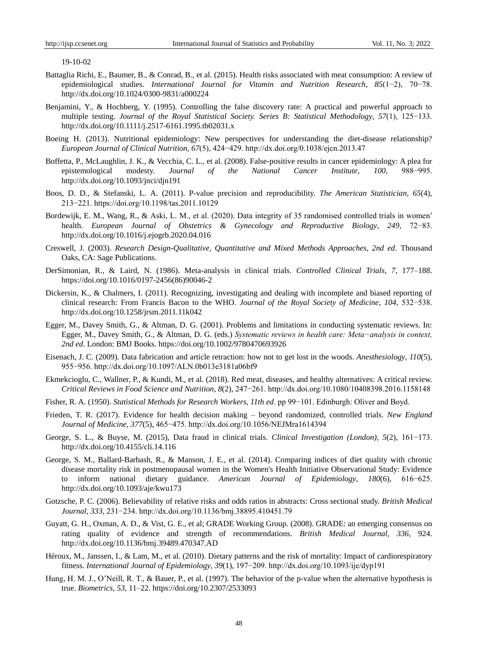19-10-02

- Battaglia Richi, E., Baumer, B., & Conrad, B., et al. (2015). Health risks associated with meat consumption: A review of epidemiological studies. *International Journal for Vitamin and Nutrition Research*, *85*(1−2), 70−78. http://dx.doi.org/10.1024/0300-9831/a000224
- Benjamini, Y., & Hochberg, Y. (1995). Controlling the false discovery rate: A practical and powerful approach to multiple testing. *Journal of the Royal Statistical Society. Series B: Statistical Methodology*, *57*(1), 125−133. http://dx.doi.org/10.1111/j.2517-6161.1995.tb02031.x
- Boeing H. (2013). Nutritional epidemiology: New perspectives for understanding the diet-disease relationship? *European Journal of Clinical Nutrition*, *67*(5), 424−429. http://dx.doi.org/0.1038/ejcn.2013.47
- Boffetta, P., McLaughlin, J. K., & Vecchia, C. L., et al. (2008). False-positive results in cancer epidemiology: A plea for epistemological modesty. *Journal of the National Cancer Institute*, *100*, 988−995. http://dx.doi.org/10.1093/jnci/djn191
- Boos, D. D., & Stefanski, L. A. (2011). P-value precision and reproducibility. *The American Statistician*, *65*(4), 213−221. https://doi.org/10.1198/tas.2011.10129
- Bordewijk, E. M., Wang, R., & Aski, L. M., et al. (2020). Data integrity of 35 randomised controlled trials in women' health. *European Journal of Obstetrics & Gynecology and Reproductive Biology*, *249*, 72−83. http://dx.doi.org/10.1016/j.ejogrb.2020.04.016
- Creswell, J. (2003). *Research Design-Qualitative, Quantitative and Mixed Methods Approaches, 2nd ed*. Thousand Oaks, CA: Sage Publications.
- DerSimonian, R., & Laird, N. (1986). Meta-analysis in clinical trials. *Controlled Clinical Trials*, *7*, 177–188. https://doi.org/10.1016/0197-2456(86)90046-2
- Dickersin, K., & Chalmers, I. (2011). Recognizing, investigating and dealing with incomplete and biased reporting of clinical research: From Francis Bacon to the WHO. *Journal of the Royal Society of Medicine*, *104*, 532−538. http://dx.doi.org/10.1258/jrsm.2011.11k042
- Egger, M., Davey Smith, G., & Altman, D. G. (2001). Problems and limitations in conducting systematic reviews. In: Egger, M., Davey Smith, G., & Altman, D. G. (eds.) *Systematic reviews in health care: Meta−analysis in context, 2nd ed*. London: BMJ Books. <https://doi.org/10.1002/9780470693926>
- Eisenach, J. C. (2009). Data fabrication and article retraction: how not to get lost in the woods. *Anesthesiology*, *110*(5), 955−956. http://dx.doi.org/10.1097/ALN.0b013e3181a06bf9
- Ekmekcioglu, C., Wallner, P., & Kundi, M., et al. (2018). Red meat, diseases, and healthy alternatives: A critical review. *Critical Reviews in Food Science and Nutrition*, *8*(2), 247−261. http://dx.doi.org/10.1080/10408398.2016.1158148
- Fisher, R. A. (1950). *Statistical Methods for Research Workers, 11th ed*. pp 99−101. Edinburgh: Oliver and Boyd.
- Frieden, T. R. (2017). Evidence for health decision making beyond randomized, controlled trials. *New England Journal of Medicine*, *377*(5), 465−475. http://dx.doi.org/10.1056/NEJMra1614394
- George, S. L., & Buyse, M. (2015), Data fraud in clinical trials. *Clinical Investigation (London)*, *5*(2), 161−173. http://dx.doi.org/10.4155/cli.14.116
- George, S. M., Ballard-Barbash, R., & Manson, J. E., et al. (2014). Comparing indices of diet quality with chronic disease mortality risk in postmenopausal women in the Women's Health Initiative Observational Study: Evidence to inform national dietary guidance. *American Journal of Epidemiology*, *180*(6), 616−625. http://dx.doi.org/10.1093/aje/kwu173
- Gotzsche, P. C. (2006). Believability of relative risks and odds ratios in abstracts: Cross sectional study. *British Medical Journal, 333*, 231−234. http://dx.doi.org/10.1136/bmj.38895.410451.79
- Guyatt, G. H., Oxman, A. D., & Vist, G. E., et al; GRADE Working Group. (2008). GRADE: an emerging consensus on rating quality of evidence and strength of recommendations. *British Medical Journal, 336*, 924. http://dx.doi.org/10.1136/bmj.39489.470347.AD
- Héroux, M., Janssen, I., & Lam, M., et al. (2010). Dietary patterns and the risk of mortality: Impact of cardiorespiratory fitness. *International Journal of Epidemiology*, *39*(1), 197−209. http://dx.doi.org/10.1093/ije/dyp191
- Hung, H. M. J., O'Neill, R. T., & Bauer, P., et al. (1997). The behavior of the p-value when the alternative hypothesis is true. *Biometrics*, *53*, 11–22. https://doi.org/10.2307/2533093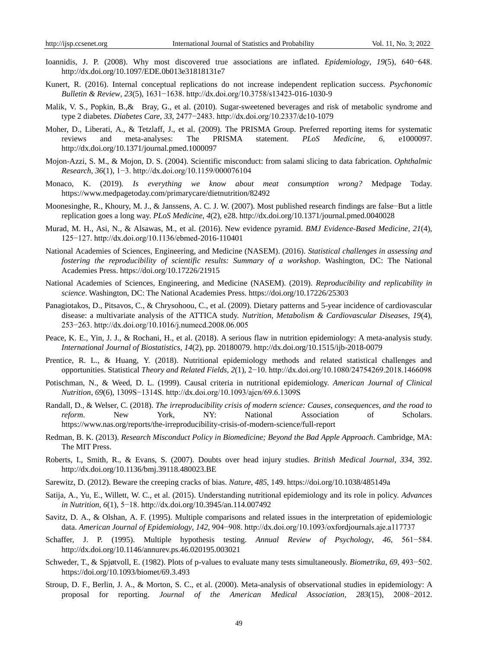- Ioannidis, J. P. (2008). Why most discovered true associations are inflated. *Epidemiology*, *19*(5), 640−648. http://dx.doi.org/10.1097/EDE.0b013e31818131e7
- Kunert, R. (2016). Internal conceptual replications do not increase independent replication success. *Psychonomic Bulletin & Review*, *23*(5), 1631−1638. http://dx.doi.org/10.3758/s13423-016-1030-9
- Malik, V. S., Popkin, B.,& Bray, G., et al. (2010). Sugar-sweetened beverages and risk of metabolic syndrome and type 2 diabetes. *Diabetes Care*, *33*, 2477−2483. http://dx.doi.org/10.2337/dc10-1079
- Moher, D., Liberati, A., & Tetzlaff, J., et al. (2009). The PRISMA Group. Preferred reporting items for systematic reviews and meta-analyses: The PRISMA statement. *PLoS Medicine*, *6*, e1000097. http://dx.doi.org/10.1371/journal.pmed.1000097
- Mojon-Azzi, S. M., & Mojon, D. S. (2004). Scientific misconduct: from salami slicing to data fabrication. *Ophthalmic Research*, *36*(1), 1−3. http://dx.doi.org/10.1159/000076104
- Monaco, K. (2019). *Is everything we know about meat consumption wrong?* Medpage Today. https://www.medpagetoday.com/primarycare/dietnutrition/82492
- Moonesinghe, R., Khoury, M. J., & Janssens, A. C. J. W. (2007). Most published research findings are false−But a little replication goes a long way. *PLoS Medicine*, *4*(2), e28. http://dx.doi.org/10.1371/journal.pmed.0040028
- Murad, M. H., Asi, N., & Alsawas, M., et al. (2016). New evidence pyramid. *BMJ Evidence-Based Medicine*, *21*(4), 125−127. http://dx.doi.org/10.1136/ebmed-2016-110401
- National Academies of Sciences, Engineering, and Medicine (NASEM). (2016). *Statistical challenges in assessing and fostering the reproducibility of scientific results: Summary of a workshop*. Washington, DC: The National Academies Press. https://doi.org/10.17226/21915
- National Academies of Sciences, Engineering, and Medicine (NASEM). (2019). *Reproducibility and replicability in science*. Washington, DC: The National Academies Press. https://doi.org/10.17226/25303
- Panagiotakos, D., Pitsavos, C., & Chrysohoou, C., et al. (2009). Dietary patterns and 5-year incidence of cardiovascular disease: a multivariate analysis of the ATTICA study. *Nutrition, Metabolism & Cardiovascular Diseases*, *19*(4), 253−263. http://dx.doi.org/10.1016/j.numecd.2008.06.005
- Peace, K. E., Yin, J. J., & Rochani, H., et al. (2018). A serious flaw in nutrition epidemiology: A meta-analysis study. *International Journal of Biostatistics*, *14*(2), pp. 20180079. http://dx.doi.org/10.1515/ijb-2018-0079
- Prentice, R. L., & Huang, Y. (2018). Nutritional epidemiology methods and related statistical challenges and opportunities. Statistical *Theory and Related Fields*, *2*(1), 2−10. http://dx.doi.org/10.1080/24754269.2018.1466098
- Potischman, N., & Weed, D. L. (1999). Causal criteria in nutritional epidemiology. *American Journal of Clinical Nutrition*, *69*(6), 1309S−1314S. http://dx.doi.org/10.1093/ajcn/69.6.1309S
- Randall, D., & Welser, C. (2018). *The irreproducibility crisis of modern science: Causes, consequences, and the road to reform*. New York, NY: National Association of Scholars. https://www.nas.org/reports/the-irreproducibility-crisis-of-modern-science/full-report
- Redman, B. K. (2013). *Research Misconduct Policy in Biomedicine; Beyond the Bad Apple Approach*. Cambridge, MA: The MIT Press.
- Roberts, I., Smith, R., & Evans, S. (2007). Doubts over head injury studies. *British Medical Journal*, *334*, 392. http://dx.doi.org/10.1136/bmj.39118.480023.BE
- Sarewitz, D. (2012). Beware the creeping cracks of bias. *Nature*, *485*, 149. https://doi.org/10.1038/485149a
- Satija, A., Yu, E., Willett, W. C., et al. (2015). Understanding nutritional epidemiology and its role in policy. *Advances in Nutrition*, *6*(1), 5−18. http://dx.doi.org/10.3945/an.114.007492
- Savitz, D. A., & Olshan, A. F. (1995). Multiple comparisons and related issues in the interpretation of epidemiologic data. *American Journal of Epidemiology*, *142*, 904−908. http://dx.doi.org/10.1093/oxfordjournals.aje.a117737
- Schaffer, J. P. (1995). Multiple hypothesis testing. *Annual Review of Psychology*, *46*, 561−584. http://dx.doi.org/10.1146/annurev.ps.46.020195.003021
- Schweder, T., & Spjøtvoll, E. (1982). Plots of p-values to evaluate many tests simultaneously. *Biometrika*, *69*, 493−502. https://doi.org/10.1093/biomet/69.3.493
- Stroup, D. F., Berlin, J. A., & Morton, S. C., et al. (2000). Meta-analysis of observational studies in epidemiology: A proposal for reporting. *Journal of the American Medical Association*, *283*(15), 2008−2012.